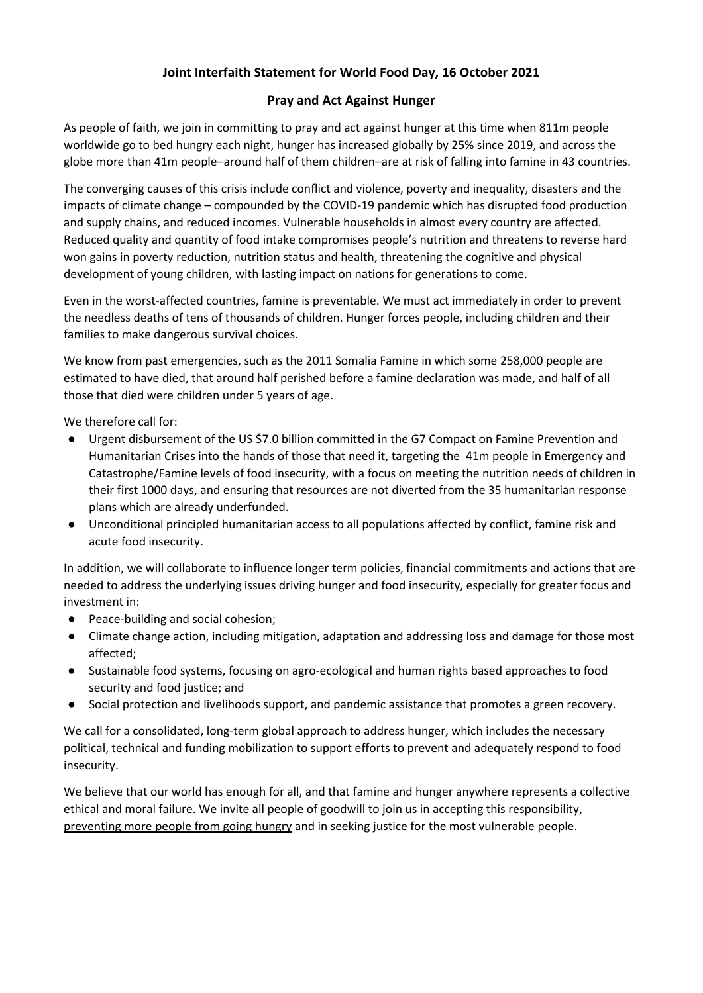## **Joint Interfaith Statement for World Food Day, 16 October 2021**

## **Pray and Act Against Hunger**

As people of faith, we join in committing to pray and act against hunger at this time when 811m people worldwide go to bed hungry each night, hunger has increased globally by 25% since 2019, and across the globe more than 41m people–around half of them children–are at risk of falling into famine in 43 countries.

The converging causes of this crisis include conflict and violence, poverty and inequality, disasters and the impacts of climate change – compounded by the COVID-19 pandemic which has disrupted food production and supply chains, and reduced incomes. Vulnerable households in almost every country are affected. Reduced quality and quantity of food intake compromises people's nutrition and threatens to reverse hard won gains in poverty reduction, nutrition status and health, threatening the cognitive and physical development of young children, with lasting impact on nations for generations to come.

Even in the worst-affected countries, famine is preventable. We must act immediately in order to prevent the needless deaths of tens of thousands of children. Hunger forces people, including children and their families to make dangerous survival choices.

We know from past emergencies, such as the 2011 Somalia Famine in which some 258,000 people are estimated to have died, that around half perished before a famine declaration was made, and half of all those that died were children under 5 years of age.

We therefore call for:

- Urgent disbursement of the US \$7.0 billion committed in the G7 Compact on Famine Prevention and Humanitarian Crises into the hands of those that need it, targeting the 41m people in Emergency and Catastrophe/Famine levels of food insecurity, with a focus on meeting the nutrition needs of children in their first 1000 days, and ensuring that resources are not diverted from the 35 humanitarian response plans which are already underfunded.
- Unconditional principled humanitarian access to all populations affected by conflict, famine risk and acute food insecurity.

In addition, we will collaborate to influence longer term policies, financial commitments and actions that are needed to address the underlying issues driving hunger and food insecurity, especially for greater focus and investment in:

- Peace-building and social cohesion;
- Climate change action, including mitigation, adaptation and addressing loss and damage for those most affected;
- Sustainable food systems, focusing on agro-ecological and human rights based approaches to food security and food justice; and
- Social protection and livelihoods support, and pandemic assistance that promotes a green recovery.

We call for a consolidated, long-term global approach to address hunger, which includes the necessary political, technical and funding mobilization to support efforts to prevent and adequately respond to food insecurity.

We believe that our world has enough for all, and that famine and hunger anywhere represents a collective ethical and moral failure. We invite all people of goodwill to join us in accepting this responsibility, preventing more people from going hungry and in seeking justice for the most vulnerable people.